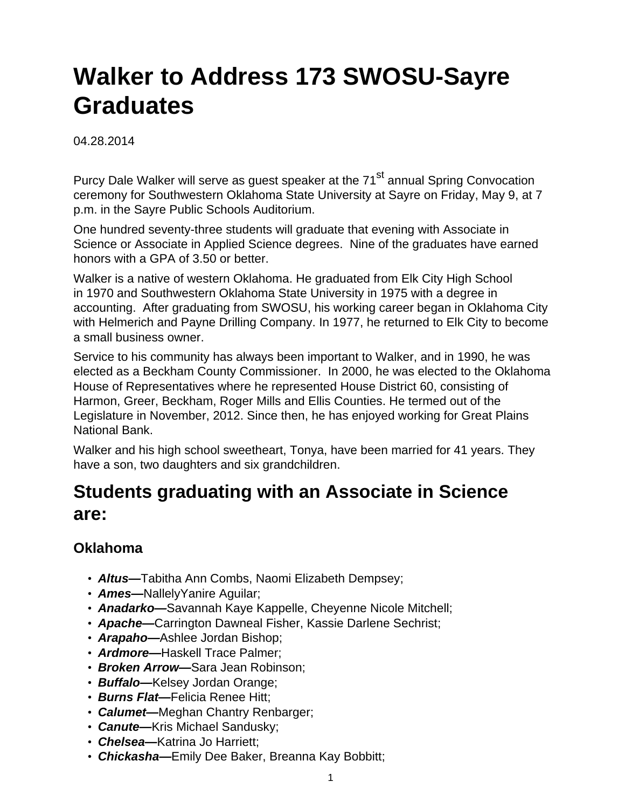# **Walker to Address 173 SWOSU-Sayre Graduates**

04.28.2014

Purcy Dale Walker will serve as quest speaker at the 71<sup>st</sup> annual Spring Convocation ceremony for Southwestern Oklahoma State University at Sayre on Friday, May 9, at 7 p.m. in the Sayre Public Schools Auditorium.

One hundred seventy-three students will graduate that evening with Associate in Science or Associate in Applied Science degrees. Nine of the graduates have earned honors with a GPA of 3.50 or better.

Walker is a native of western Oklahoma. He graduated from Elk City High School in 1970 and Southwestern Oklahoma State University in 1975 with a degree in accounting. After graduating from SWOSU, his working career began in Oklahoma City with Helmerich and Payne Drilling Company. In 1977, he returned to Elk City to become a small business owner.

Service to his community has always been important to Walker, and in 1990, he was elected as a Beckham County Commissioner. In 2000, he was elected to the Oklahoma House of Representatives where he represented House District 60, consisting of Harmon, Greer, Beckham, Roger Mills and Ellis Counties. He termed out of the Legislature in November, 2012. Since then, he has enjoyed working for Great Plains National Bank.

Walker and his high school sweetheart, Tonya, have been married for 41 years. They have a son, two daughters and six grandchildren.

# **Students graduating with an Associate in Science are:**

#### **Oklahoma**

- **Altus—**Tabitha Ann Combs, Naomi Elizabeth Dempsey;
- **Ames—**NallelyYanire Aguilar;
- **Anadarko—**Savannah Kaye Kappelle, Cheyenne Nicole Mitchell;
- **Apache—**Carrington Dawneal Fisher, Kassie Darlene Sechrist;
- **Arapaho—**Ashlee Jordan Bishop;
- **Ardmore—**Haskell Trace Palmer;
- **Broken Arrow—**Sara Jean Robinson;
- **Buffalo—**Kelsey Jordan Orange;
- **Burns Flat—**Felicia Renee Hitt;
- **Calumet—**Meghan Chantry Renbarger;
- **Canute—**Kris Michael Sandusky;
- **Chelsea—**Katrina Jo Harriett;
- **Chickasha—**Emily Dee Baker, Breanna Kay Bobbitt;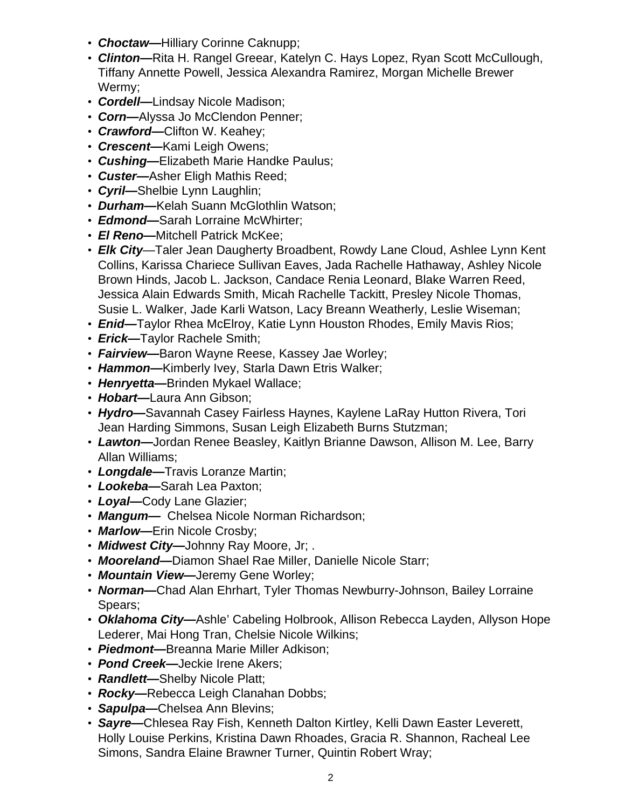- **Choctaw—**Hilliary Corinne Caknupp;
- **Clinton—**Rita H. Rangel Greear, Katelyn C. Hays Lopez, Ryan Scott McCullough, Tiffany Annette Powell, Jessica Alexandra Ramirez, Morgan Michelle Brewer Wermy;
- **Cordell—**Lindsay Nicole Madison;
- **Corn—**Alyssa Jo McClendon Penner;
- **Crawford—**Clifton W. Keahey;
- **Crescent—**Kami Leigh Owens;
- **Cushing—**Elizabeth Marie Handke Paulus;
- **Custer—**Asher Eligh Mathis Reed;
- **Cyril—**Shelbie Lynn Laughlin;
- **Durham—**Kelah Suann McGlothlin Watson;
- **Edmond—**Sarah Lorraine McWhirter;
- **El Reno—**Mitchell Patrick McKee;
- **Elk City**—Taler Jean Daugherty Broadbent, Rowdy Lane Cloud, Ashlee Lynn Kent Collins, Karissa Chariece Sullivan Eaves, Jada Rachelle Hathaway, Ashley Nicole Brown Hinds, Jacob L. Jackson, Candace Renia Leonard, Blake Warren Reed, Jessica Alain Edwards Smith, Micah Rachelle Tackitt, Presley Nicole Thomas, Susie L. Walker, Jade Karli Watson, Lacy Breann Weatherly, Leslie Wiseman;
- **Enid—**Taylor Rhea McElroy, Katie Lynn Houston Rhodes, Emily Mavis Rios;
- **Erick—**Taylor Rachele Smith;
- **Fairview—**Baron Wayne Reese, Kassey Jae Worley;
- **Hammon—**Kimberly Ivey, Starla Dawn Etris Walker;
- **Henryetta—**Brinden Mykael Wallace;
- **Hobart—**Laura Ann Gibson;
- **Hydro—**Savannah Casey Fairless Haynes, Kaylene LaRay Hutton Rivera, Tori Jean Harding Simmons, Susan Leigh Elizabeth Burns Stutzman;
- **Lawton—**Jordan Renee Beasley, Kaitlyn Brianne Dawson, Allison M. Lee, Barry Allan Williams;
- **Longdale—**Travis Loranze Martin;
- **Lookeba—**Sarah Lea Paxton;
- **Loyal—**Cody Lane Glazier;
- **Mangum—** Chelsea Nicole Norman Richardson;
- **Marlow—**Erin Nicole Crosby;
- **Midwest City—**Johnny Ray Moore, Jr; .
- **Mooreland—**Diamon Shael Rae Miller, Danielle Nicole Starr;
- **Mountain View—**Jeremy Gene Worley;
- **Norman—**Chad Alan Ehrhart, Tyler Thomas Newburry-Johnson, Bailey Lorraine Spears;
- **Oklahoma City—**Ashle' Cabeling Holbrook, Allison Rebecca Layden, Allyson Hope Lederer, Mai Hong Tran, Chelsie Nicole Wilkins;
- **Piedmont—**Breanna Marie Miller Adkison;
- **Pond Creek—**Jeckie Irene Akers;
- **Randlett—**Shelby Nicole Platt;
- **Rocky—**Rebecca Leigh Clanahan Dobbs;
- **Sapulpa—**Chelsea Ann Blevins;
- **Sayre—**Chlesea Ray Fish, Kenneth Dalton Kirtley, Kelli Dawn Easter Leverett, Holly Louise Perkins, Kristina Dawn Rhoades, Gracia R. Shannon, Racheal Lee Simons, Sandra Elaine Brawner Turner, Quintin Robert Wray;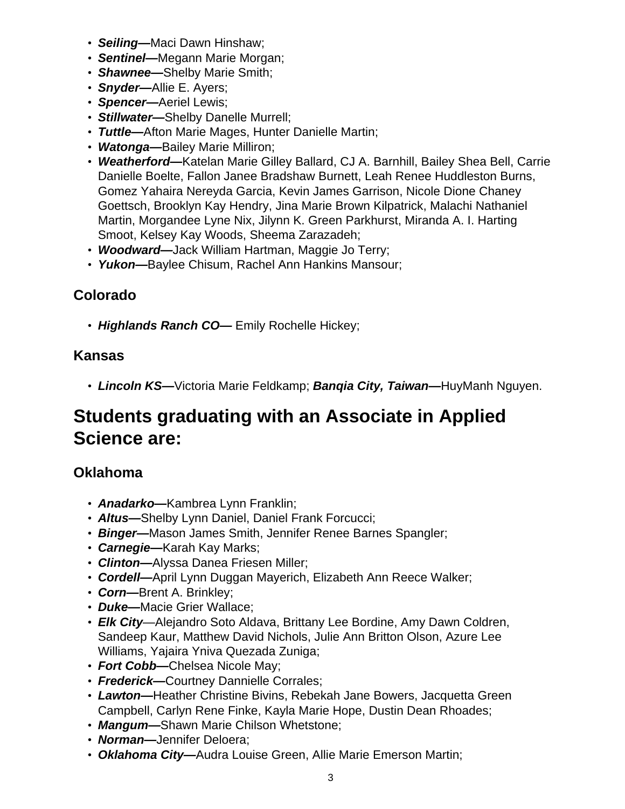- **Seiling—**Maci Dawn Hinshaw;
- **Sentinel—**Megann Marie Morgan;
- **Shawnee—**Shelby Marie Smith;
- **Snyder—**Allie E. Ayers;
- **Spencer—**Aeriel Lewis;
- **Stillwater—**Shelby Danelle Murrell;
- **Tuttle—**Afton Marie Mages, Hunter Danielle Martin;
- **Watonga—**Bailey Marie Milliron;
- **Weatherford—**Katelan Marie Gilley Ballard, CJ A. Barnhill, Bailey Shea Bell, Carrie Danielle Boelte, Fallon Janee Bradshaw Burnett, Leah Renee Huddleston Burns, Gomez Yahaira Nereyda Garcia, Kevin James Garrison, Nicole Dione Chaney Goettsch, Brooklyn Kay Hendry, Jina Marie Brown Kilpatrick, Malachi Nathaniel Martin, Morgandee Lyne Nix, Jilynn K. Green Parkhurst, Miranda A. I. Harting Smoot, Kelsey Kay Woods, Sheema Zarazadeh;
- **Woodward—**Jack William Hartman, Maggie Jo Terry;
- **Yukon—**Baylee Chisum, Rachel Ann Hankins Mansour;

### **Colorado**

• **Highlands Ranch CO—** Emily Rochelle Hickey;

#### **Kansas**

• **Lincoln KS—**Victoria Marie Feldkamp; **Banqia City, Taiwan—**HuyManh Nguyen.

## **Students graduating with an Associate in Applied Science are:**

#### **Oklahoma**

- **Anadarko—**Kambrea Lynn Franklin;
- **Altus—**Shelby Lynn Daniel, Daniel Frank Forcucci;
- **Binger—**Mason James Smith, Jennifer Renee Barnes Spangler;
- **Carnegie—**Karah Kay Marks;
- **Clinton—**Alyssa Danea Friesen Miller;
- **Cordell—**April Lynn Duggan Mayerich, Elizabeth Ann Reece Walker;
- **Corn—**Brent A. Brinkley;
- **Duke—**Macie Grier Wallace;
- **Elk City**—Alejandro Soto Aldava, Brittany Lee Bordine, Amy Dawn Coldren, Sandeep Kaur, Matthew David Nichols, Julie Ann Britton Olson, Azure Lee Williams, Yajaira Yniva Quezada Zuniga;
- **Fort Cobb—**Chelsea Nicole May;
- **Frederick—**Courtney Dannielle Corrales;
- **Lawton—**Heather Christine Bivins, Rebekah Jane Bowers, Jacquetta Green Campbell, Carlyn Rene Finke, Kayla Marie Hope, Dustin Dean Rhoades;
- **Mangum—**Shawn Marie Chilson Whetstone;
- **Norman—**Jennifer Deloera;
- **Oklahoma City—**Audra Louise Green, Allie Marie Emerson Martin;